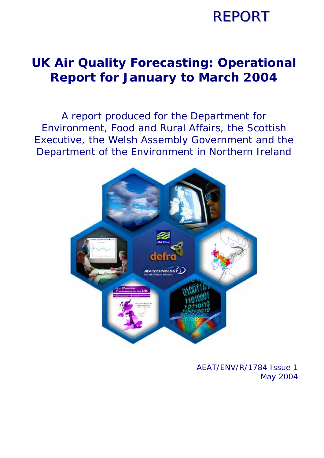## **REPORT**

### **UK Air Quality Forecasting: Operational Report for January to March 2004**

A report produced for the Department for Environment, Food and Rural Affairs, the Scottish Executive, the Welsh Assembly Government and the Department of the Environment in Northern Ireland



AEAT/ENV/R/1784 Issue 1 May 2004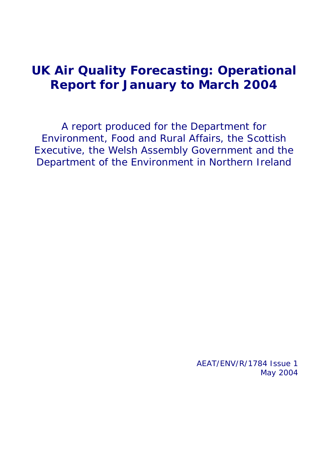### **UK Air Quality Forecasting: Operational Report for January to March 2004**

A report produced for the Department for Environment, Food and Rural Affairs, the Scottish Executive, the Welsh Assembly Government and the Department of the Environment in Northern Ireland

> AEAT/ENV/R/1784 Issue 1 May 2004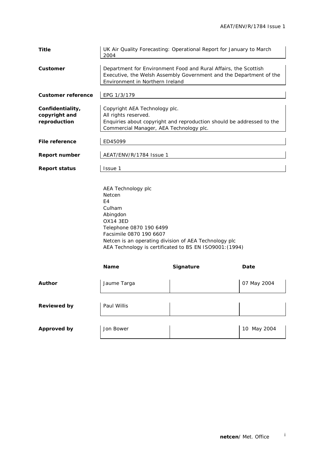| <b>Title</b>                                      | 2004                                                                                                                                                                                       | UK Air Quality Forecasting: Operational Report for January to March                                                                   |             |  |  |  |  |  |  |
|---------------------------------------------------|--------------------------------------------------------------------------------------------------------------------------------------------------------------------------------------------|---------------------------------------------------------------------------------------------------------------------------------------|-------------|--|--|--|--|--|--|
| Customer                                          | Environment in Northern Ireland                                                                                                                                                            | Department for Environment Food and Rural Affairs, the Scottish<br>Executive, the Welsh Assembly Government and the Department of the |             |  |  |  |  |  |  |
| <b>Customer reference</b>                         | EPG 1/3/179                                                                                                                                                                                |                                                                                                                                       |             |  |  |  |  |  |  |
| Confidentiality,<br>copyright and<br>reproduction | Copyright AEA Technology plc.<br>All rights reserved.<br>Enquiries about copyright and reproduction should be addressed to the<br>Commercial Manager, AEA Technology plc.                  |                                                                                                                                       |             |  |  |  |  |  |  |
| File reference                                    | ED45099                                                                                                                                                                                    |                                                                                                                                       |             |  |  |  |  |  |  |
| <b>Report number</b>                              | AEAT/ENV/R/1784 Issue 1                                                                                                                                                                    |                                                                                                                                       |             |  |  |  |  |  |  |
| <b>Report status</b>                              | Issue 1                                                                                                                                                                                    |                                                                                                                                       |             |  |  |  |  |  |  |
|                                                   | AEA Technology plc<br>Netcen<br>E4<br>Culham<br>Abingdon<br><b>OX14 3ED</b><br>Telephone 0870 190 6499<br>Facsimile 0870 190 6607<br>Netcen is an operating division of AEA Technology plc | AEA Technology is certificated to BS EN ISO9001: (1994)                                                                               |             |  |  |  |  |  |  |
|                                                   | Name                                                                                                                                                                                       | Signature                                                                                                                             | Date        |  |  |  |  |  |  |
| <b>Author</b>                                     | Jaume Targa                                                                                                                                                                                |                                                                                                                                       | 07 May 2004 |  |  |  |  |  |  |
| <b>Reviewed by</b>                                | Paul Willis                                                                                                                                                                                |                                                                                                                                       |             |  |  |  |  |  |  |
| <b>Approved by</b>                                | Jon Bower                                                                                                                                                                                  |                                                                                                                                       | 10 May 2004 |  |  |  |  |  |  |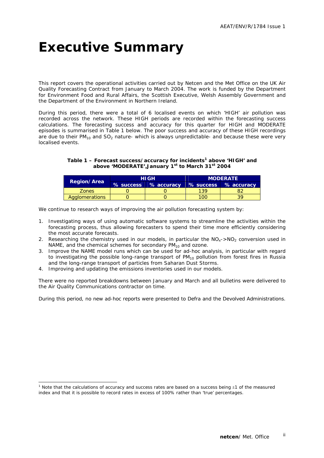### **Executive Summary**

This report covers the operational activities carried out by Netcen and the Met Office on the UK Air Quality Forecasting Contract from January to March 2004. The work is funded by the Department for Environment Food and Rural Affairs, the Scottish Executive, Welsh Assembly Government and the Department of the Environment in Northern Ireland.

During this period, there were a total of 6 localised events on which 'HIGH' air pollution was recorded across the network. These HIGH periods are recorded within the forecasting success calculations. The forecasting success and accuracy for this quarter for HIGH and MODERATE episodes is summarised in Table 1 below. The poor success and accuracy of these HIGH recordings are due to their  $PM_{10}$  and  $SO_2$  nature- which is always unpredictable- and because these were very localised events.

#### **Table 1 – Forecast success/accuracy for incidents1 above 'HIGH' and above 'MODERATE',January 1st to March 31st 2004**

|                    |           | <b>HIGH</b> | <b>MODERATE</b> |                      |  |  |  |
|--------------------|-----------|-------------|-----------------|----------------------|--|--|--|
| <b>Region/Area</b> | % success | % accuracy  |                 | % success % accuracy |  |  |  |
| <b>Zones</b>       |           |             | 139             |                      |  |  |  |
| Agglomerations     |           |             | LOO             |                      |  |  |  |

We continue to research ways of improving the air pollution forecasting system by:

- 1. Investigating ways of using automatic software systems to streamline the activities within the forecasting process, thus allowing forecasters to spend their time more efficiently considering the most accurate forecasts.
- 2. Researching the chemistry used in our models, in particular the  $NO<sub>x</sub>$ -> $NO<sub>2</sub>$  conversion used in NAME, and the chemical schemes for secondary  $PM_{10}$  and ozone.
- 3. Improve the NAME model runs which can be used for ad-hoc analysis, in particular with regard to investigating the possible long-range transport of PM<sub>10</sub> pollution from forest fires in Russia and the long-range transport of particles from Saharan Dust Storms.
- 4. Improving and updating the emissions inventories used in our models.

ł

There were no reported breakdowns between January and March and all bulletins were delivered to the Air Quality Communications contractor on time.

During this period, no new ad-hoc reports were presented to Defra and the Devolved Administrations.

<sup>&</sup>lt;sup>1</sup> Note that the calculations of accuracy and success rates are based on a success being ±1 of the measured index and that it is possible to record rates in excess of 100% rather than 'true' percentages.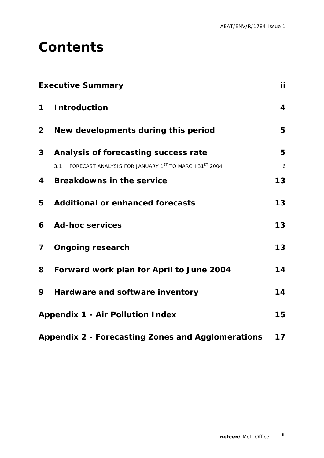### **Contents**

|                | <b>Executive Summary</b>                                    | ii                      |
|----------------|-------------------------------------------------------------|-------------------------|
| $\mathbf 1$    | <b>Introduction</b>                                         | $\overline{\mathbf{4}}$ |
| 2 <sup>1</sup> | New developments during this period                         | 5                       |
| $\mathbf{3}$   | Analysis of forecasting success rate                        | 5                       |
|                | FORECAST ANALYSIS FOR JANUARY 1ST TO MARCH 31ST 2004<br>3.1 | 6                       |
| 4              | <b>Breakdowns in the service</b>                            | 13                      |
| 5              | <b>Additional or enhanced forecasts</b>                     | 13                      |
| 6              | <b>Ad-hoc services</b>                                      | 13                      |
| $\mathbf{7}$   | <b>Ongoing research</b>                                     | 13                      |
| 8              | Forward work plan for April to June 2004                    | 14                      |
| 9              | Hardware and software inventory                             | 14                      |
|                | <b>Appendix 1 - Air Pollution Index</b>                     | 15                      |
|                |                                                             |                         |

**Appendix 2 - Forecasting Zones and Agglomerations 17**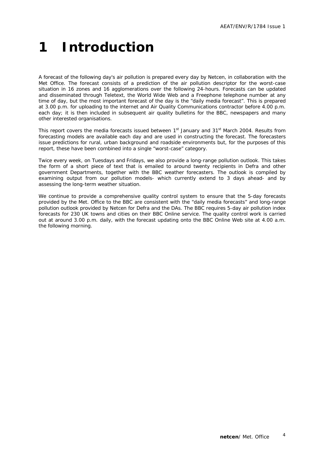## **1 Introduction**

A forecast of the following day's air pollution is prepared every day by Netcen, in collaboration with the Met Office. The forecast consists of a prediction of the air pollution descriptor for the worst-case situation in 16 zones and 16 agglomerations over the following 24-hours. Forecasts can be updated and disseminated through Teletext, the World Wide Web and a Freephone telephone number at any time of day, but the most important forecast of the day is the "daily media forecast". This is prepared at 3.00 p.m. for uploading to the internet and Air Quality Communications contractor before 4.00 p.m. each day; it is then included in subsequent air quality bulletins for the BBC, newspapers and many other interested organisations.

This report covers the media forecasts issued between 1<sup>st</sup> January and 31<sup>st</sup> March 2004. Results from forecasting models are available each day and are used in constructing the forecast. The forecasters issue predictions for rural, urban background and roadside environments but, for the purposes of this report, these have been combined into a single "worst-case" category.

Twice every week, on Tuesdays and Fridays, we also provide a long-range pollution outlook. This takes the form of a short piece of text that is emailed to around twenty recipients in Defra and other government Departments, together with the BBC weather forecasters. The outlook is compiled by examining output from our pollution models- which currently extend to 3 days ahead- and by assessing the long-term weather situation.

We continue to provide a comprehensive quality control system to ensure that the 5-day forecasts provided by the Met. Office to the BBC are consistent with the "daily media forecasts" and long-range pollution outlook provided by Netcen for Defra and the DAs. The BBC requires 5-day air pollution index forecasts for 230 UK towns and cities on their BBC Online service. The quality control work is carried out at around 3.00 p.m. daily, with the forecast updating onto the BBC Online Web site at 4.00 a.m. the following morning.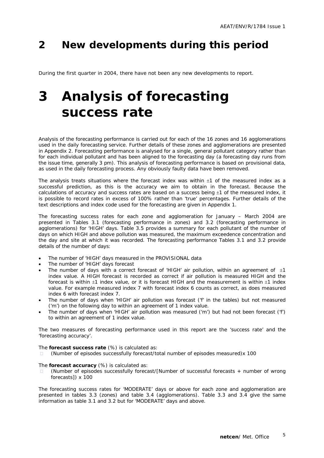### **2 New developments during this period**

During the first quarter in 2004, there have not been any new developments to report.

### **3 Analysis of forecasting success rate**

Analysis of the forecasting performance is carried out for each of the 16 zones and 16 agglomerations used in the daily forecasting service. Further details of these zones and agglomerations are presented in Appendix 2. Forecasting performance is analysed for a single, general pollutant category rather than for each individual pollutant and has been aligned to the forecasting day (a forecasting day runs from the issue time, generally 3 pm). This analysis of forecasting performance is based on provisional data, as used in the daily forecasting process. Any obviously faulty data have been removed.

The analysis treats situations where the forecast index was within ±1 of the measured index as a successful prediction, as this is the accuracy we aim to obtain in the forecast. Because the calculations of accuracy and success rates are based on a success being ±1 of the measured index, it is possible to record rates in excess of 100% rather than 'true' percentages. Further details of the text descriptions and index code used for the forecasting are given in Appendix 1.

The forecasting success rates for each zone and agglomeration for January – March 2004 are presented in Tables 3.1 (forecasting performance in zones) and 3.2 (forecasting performance in agglomerations) for 'HIGH' days. Table 3.5 provides a summary for each pollutant of the number of days on which HIGH and above pollution was measured, the maximum exceedence concentration and the day and site at which it was recorded. The forecasting performance Tables 3.1 and 3.2 provide details of the number of days:

- The number of 'HIGH' days measured in the PROVISIONAL data
- The number of 'HIGH' days forecast
- The number of days with a correct forecast of 'HIGH' air pollution, within an agreement of  $\pm 1$ index value. A HIGH forecast is recorded as correct if air pollution is measured HIGH and the forecast is within  $\pm 1$  index value, or it is forecast HIGH and the measurement is within  $\pm 1$  index value. For example measured index 7 with forecast index 6 counts as correct, as does measured index 6 with forecast index 7.
- The number of days when 'HIGH' air pollution was forecast ('f' in the tables) but not measured ('m') on the following day to within an agreement of 1 index value.
- The number of days when 'HIGH' air pollution was measured ('m') but had not been forecast ('f') to within an agreement of 1 index value.

The two measures of forecasting performance used in this report are the 'success rate' and the 'forecasting accuracy'.

The *forecast success rate* (%) is calculated as:

(Number of episodes successfully forecast/total number of episodes measured)x 100

#### The *forecast accuracy* (%) is calculated as:

 (Number of episodes successfully forecast/[Number of successful forecasts + number of wrong forecasts]) x 100

The forecasting success rates for 'MODERATE' days or above for each zone and agglomeration are presented in tables 3.3 (zones) and table 3.4 (agglomerations). Table 3.3 and 3.4 give the same information as table 3.1 and 3.2 but for 'MODERATE' days and above.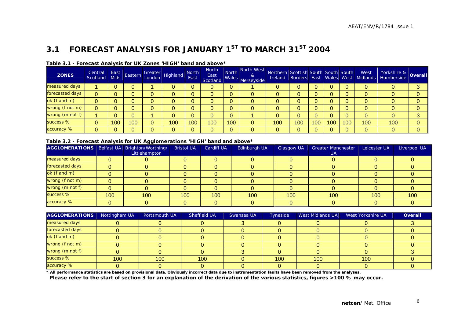### **3.1 FORECAST ANALYSIS FOR JANUARY 1ST TO MARCH 31ST 2004**

| <b>ZONES</b>    | Central<br>Scotland | East<br><b>Mids</b> | Eastern | Greater  <br> London   Highland | <b>North</b><br>East | <b>North</b><br>East<br>Scotland |              | North North West<br>&<br>and Wales Merseyside | Northern Scottish South South South |     |     |     |     | West | Yorkshire & Overall<br>Ireland Borders East Wales West Midlands Humberside |  |
|-----------------|---------------------|---------------------|---------|---------------------------------|----------------------|----------------------------------|--------------|-----------------------------------------------|-------------------------------------|-----|-----|-----|-----|------|----------------------------------------------------------------------------|--|
| measured days   |                     |                     |         |                                 |                      | 0                                | 0            |                                               |                                     |     |     |     |     | 0    |                                                                            |  |
| forecasted days |                     |                     |         |                                 |                      | 0                                | 0            |                                               |                                     |     |     |     |     | 0    |                                                                            |  |
| ok (f and m)    |                     |                     |         |                                 |                      | 0                                | 0            | 0                                             |                                     |     |     |     |     | 0    |                                                                            |  |
| wrong (f not m) |                     |                     |         |                                 |                      | 0                                | 0            |                                               |                                     |     |     |     |     | 0    |                                                                            |  |
| wrong (m not f) |                     |                     |         |                                 |                      | 0                                | $\mathbf{0}$ |                                               |                                     |     |     |     |     | 0    |                                                                            |  |
| success %       |                     | 100                 | 00      | 100                             | 100                  | 100                              | 100          | 0                                             | 100                                 | 100 | 100 | 100 | 100 | 100  | 100                                                                        |  |
| accuracy %      |                     |                     |         |                                 | $\overline{0}$       | 0                                | $\mathbf 0$  |                                               |                                     |     |     |     |     |      |                                                                            |  |

#### **Table 3.1 - Forecast Analysis for UK Zones 'HIGH' band and above\***

#### **Table 3.2 - Forecast Analysis for UK Agglomerations 'HIGH' band and above\***

| AGGLOMERATIONS   Belfast UA   Brighton/Worthing/ |     | ---<br>Littlehampton | <b>Bristol UA</b> | <b>Cardiff UA</b> | Edinburgh UA | Glasgow UA | <b>Greater Manchester</b><br><b>UA</b> | Leicester UA | Liverpool UA |
|--------------------------------------------------|-----|----------------------|-------------------|-------------------|--------------|------------|----------------------------------------|--------------|--------------|
| measured days                                    |     |                      |                   |                   |              |            |                                        |              |              |
| forecasted days                                  |     |                      |                   |                   |              |            |                                        |              |              |
| ok (f and m)                                     |     |                      |                   |                   |              |            |                                        |              |              |
| wrong (f not m)                                  |     |                      |                   |                   |              |            |                                        |              |              |
| wrong (m not f)                                  |     |                      |                   |                   |              |            |                                        |              |              |
| success %                                        | 100 | 100                  | 100 <sup>1</sup>  | 100               | 100          | 100        | 100                                    | 100          | 100          |
| accuracy %                                       |     |                      |                   |                   |              |            |                                        |              |              |

| <b>AGGLOMERATIONS</b> | Nottingham UA | Portsmouth UA | Sheffield UA | Swansea UA | Tyneside | West Midlands UA | West Yorkshire UA | <b>Overall</b> |
|-----------------------|---------------|---------------|--------------|------------|----------|------------------|-------------------|----------------|
| measured days         |               |               |              |            |          |                  |                   |                |
| forecasted days       |               |               |              |            |          |                  |                   |                |
| ok (f and m)          |               |               |              |            |          |                  |                   |                |
| wrong (f not m)       |               |               |              |            |          |                  |                   |                |
| wrong (m not f)       |               |               |              |            |          |                  |                   |                |
| success %             | 100           | 100           | 100          |            | 100      | 100              | 100               |                |
| accuracy %            |               |               |              |            |          |                  |                   |                |

**\* All performance statistics are based on provisional data. Obviously incorrect data due to instrumentation faults have been removed from the analyses.** 

 **Please refer to the start of section 3 for an explanation of the derivation of the various statistics, figures >100 % may occur.**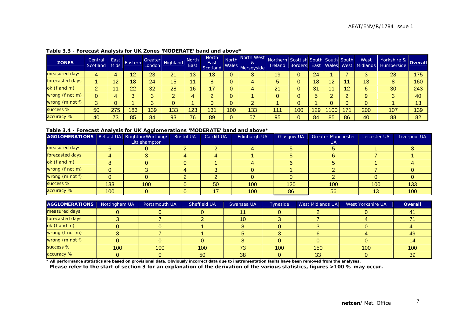| <b>ZONES</b>    | Central<br>Scotland | East<br><b>Mids</b> | Eastern | Greater<br>London | Highland | <b>North</b><br>East | <b>North</b><br>East<br>Scotland | North<br>Wales | North West<br>&<br>Merseyside | Northern Scottish South South South<br>Ireland |     |     |     |     | West<br>Borders East Wales West Midlands | Yorkshire & Overall<br>Humberside |     |
|-----------------|---------------------|---------------------|---------|-------------------|----------|----------------------|----------------------------------|----------------|-------------------------------|------------------------------------------------|-----|-----|-----|-----|------------------------------------------|-----------------------------------|-----|
| measured days   | 4                   |                     | 12      | 23                | 21       | 13                   | 13                               | 0              | 3                             | 19                                             |     | 24  |     |     |                                          | 28                                | 175 |
| forecasted days |                     |                     | I8      | 24                | 15       | -4                   | 8                                | 0              | 4                             |                                                |     | 18  | 12  |     | 13                                       | 8                                 | 160 |
| ok (f and m)    | ົ                   |                     | 22      | 32                | 28       | 16                   | 17                               | 0              | 4                             | 21                                             |     | 31  |     | 12  | 6                                        | 30                                | 243 |
| wrong (f not m) |                     |                     |         |                   |          | д                    | 痴                                |                |                               |                                                |     |     |     |     | 9                                        | $\bullet$                         | 40  |
| wrong (m not f) | $\bullet$           |                     |         |                   |          |                      | υ                                | 0              | ≘<br>∠                        |                                                |     |     |     |     |                                          |                                   | 13  |
| success %       | 50                  | 275                 | 83      | 139               | 133      | 123                  | 131                              | 100            | 133                           | 11                                             | 100 | 129 | 100 | 171 | 200                                      | 107                               | 139 |
| accuracy %      | 40                  | 73.                 | 85      | 84                | 93       | 76                   | 89                               | $\mathbf{0}$   | 57                            | 95                                             |     | 84  | 85  | 86  | 40                                       | 88                                | 82  |

#### **Table 3.3 - Forecast Analysis for UK Zones 'MODERATE' band and above\***

#### **Table 3.4 - Forecast Analysis for UK Agglomerations 'MODERATE' band and above\***

| AGGLOMERATIONS   Belfast UA   Brighton/Worthing/ |     |               | <b>Bristol UA</b> | <b>Cardiff UA</b> | Edinburgh UA | <b>Glasgow UA</b> | <b>Greater Manchester</b> | Leicester UA | Liverpool UA |
|--------------------------------------------------|-----|---------------|-------------------|-------------------|--------------|-------------------|---------------------------|--------------|--------------|
|                                                  |     | Littlehampton |                   |                   |              |                   | UA.                       |              |              |
| measured days                                    |     |               |                   |                   |              |                   |                           |              |              |
| forecasted days                                  |     |               |                   |                   |              |                   |                           |              |              |
| ok (f and m)                                     |     |               |                   |                   |              |                   |                           |              |              |
| wrong (f not m)                                  |     |               |                   |                   |              |                   |                           |              |              |
| wrong (m not f)                                  |     |               |                   |                   |              |                   |                           |              |              |
| success %                                        | 133 | 100           |                   | 50                | 100          | 120               | 100                       | 100          | 133          |
| accuracy %                                       | 100 |               |                   |                   | 100          | 86                | 56                        | 13           | 100          |

| <b>AGGLOMERATIONS</b> | Nottingham UA | Portsmouth UA | Sheffield UA | Swansea UA | <b>Tyneside</b> | <b>West Midlands UA</b> | <b>West Yorkshire UA</b> | <b>Overall</b> |
|-----------------------|---------------|---------------|--------------|------------|-----------------|-------------------------|--------------------------|----------------|
| measured days         |               |               |              |            |                 |                         |                          |                |
| forecasted days       |               |               |              | 10         |                 |                         |                          |                |
| ok (f and m)          |               |               |              |            |                 |                         |                          |                |
| wrong (f not m)       |               |               |              |            |                 |                         |                          | 49             |
| wrong (m not f)       |               |               |              |            |                 |                         |                          |                |
| success %             | 100           | 100           | 100          | 73         | 100             | 150                     | 100                      | 100            |
| accuracy %            |               |               | 50           | 38         |                 | 33                      |                          | 39             |

**\* All performance statistics are based on provisional data. Obviously incorrect data due to instrumentation faults have been removed from the analyses.** 

 **Please refer to the start of section 3 for an explanation of the derivation of the various statistics, figures >100 % may occur.**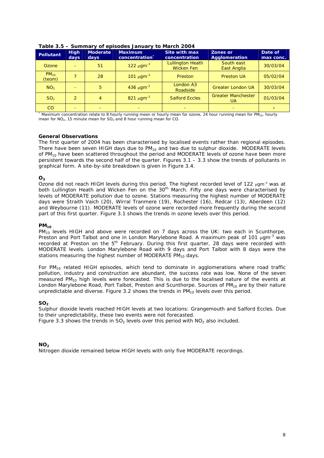| <b>Pollutant</b>    | <b>High</b><br>days | <b>Moderate</b><br>days | <b>Maximum</b><br>concentration | <b>Site with max</b><br>concentration        | Zones or<br>Agglomeration              | Date of<br>max conc. |
|---------------------|---------------------|-------------------------|---------------------------------|----------------------------------------------|----------------------------------------|----------------------|
| Ozone               |                     | 51                      | $122 \mu$ gm <sup>-3</sup>      | <b>Lullington Heath</b><br><b>Wicken Fen</b> | South east<br>East Anglia              | 30/03/04             |
| $PM_{10}$<br>(teom) | 7                   | 28                      | 101 $\mu$ gm <sup>-3</sup>      | Preston                                      | <b>Preston UA</b>                      | 05/02/04             |
| NO <sub>2</sub>     |                     | 5                       | 436 µgm <sup>-3</sup>           | London A3<br>Roadside                        | <b>Greater London UA</b>               | 30/03/04             |
| SO <sub>2</sub>     | $\overline{2}$      | 4                       | 821 µgm <sup>-3</sup>           | <b>Salford Eccles</b>                        | <b>Greater Manchester</b><br><b>UA</b> | 01/03/04             |
| CO                  | $=$                 |                         |                                 |                                              |                                        |                      |

**Table 3.5 – Summary of episodes January to March 2004** 

\* Maximum concentration relate to 8 hourly running mean or hourly mean for ozone, 24 hour running mean for PM<sub>10</sub>, hourly mean for  $NO<sub>2</sub>$ , 15 minute mean for  $SO<sub>2</sub>$  and 8 hour running mean for CO.

#### **General Observations**

The first quarter of 2004 has been characterised by localised events rather than regional episodes. There have been seven HIGH days due to  $PM_{10}$  and two due to sulphur dioxide. MODERATE levels of PM<sub>10</sub> have been scattered throughout the period and MODERATE levels of ozone have been more persistent towards the second half of the quarter. Figures  $3.1 - 3.3$  show the trends of pollutants in graphical form. A site-by-site breakdown is given in Figure 3.4.

#### **O3**

Ozone did not reach HIGH levels during this period. The highest recorded level of 122  $\mu$ gm<sup>-3</sup> was at both Lullington Heath and Wicken Fen on the 30<sup>th</sup> March. Fifty one days were characterised by levels of MODERATE pollution due to ozone. Stations measuring the highest number of MODERATE days were Straith Vaich (20), Wirral Tranmere (19), Rochester (16), Redcar (13), Aberdeen (12) and Weybourne (11). MODERATE levels of ozone were recorded more frequently during the second part of this first quarter. Figure 3.1 shows the trends in ozone levels over this period.

#### **PM10**

 $PM_{10}$  levels HIGH and above were recorded on 7 days across the UK: two each in Scunthorpe, Preston and Port Talbot and one in London Marylebone Road. A maximum peak of 101  $\mu$ gm<sup>-3</sup> was recorded at Preston on the  $5<sup>th</sup>$  February. During this first quarter, 28 days were recorded with MODERATE levels. London Marylebone Road with 9 days and Port Talbot with 8 days were the stations measuring the highest number of MODERATE  $PM_{10}$  days.

For  $PM_{10}$  related HIGH episodes, which tend to dominate in agglomerations where road traffic pollution, industry and construction are abundant, the success rate was low. None of the seven measured PM<sub>10</sub> high levels were forecasted. This is due to the localised nature of the events at London Marylebone Road, Port Talbot, Preston and Scunthorpe. Sources of  $PM_{10}$  are by their nature unpredictable and diverse. Figure 3.2 shows the trends in  $PM_{10}$  levels over this period.

#### **SO<sub>2</sub>**

Sulphur dioxide levels reached HIGH levels at two locations: Grangemouth and Salford Eccles. Due to their unpredictability, these two events were not forecasted.

Figure 3.3 shows the trends in SO<sub>2</sub> levels over this period with NO<sub>2</sub> also included.

#### $NO<sub>2</sub>$

Nitrogen dioxide remained below HIGH levels with only five MODERATE recordings.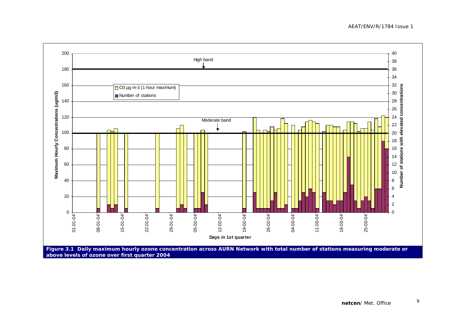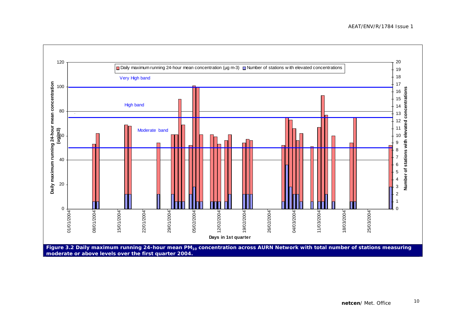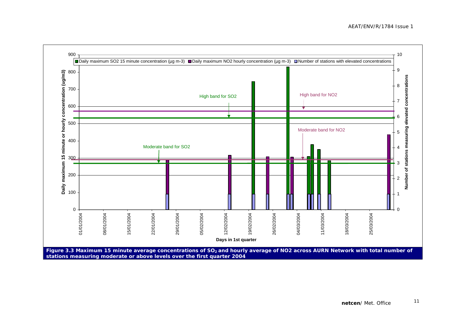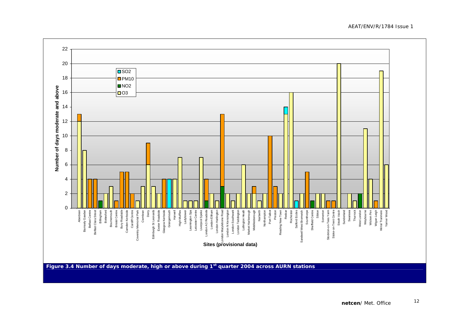2220SO2  $D$ PM<sub>10</sub> 18  $\blacksquare$ NO<sub>2</sub> Number of days moderate and above **Number of days moderate and above**  16O3 14 1210 8 642 $\Omega$ Aberdeen<br>Barnsely Gawber<br>Belfast Cara Street<br>Belfast Clara Street<br>Billingham Bournemouth<br>Bristol Centre<br>Bury Roadside<br>Camden Kerbside Cardiff Centre<br>htty Memorial Park<br>Cwmbran Exeter Roadside<br>Glasgow Kerbside Wigan Leigh<br>Wirral Tranmere<br>Yarner Wood Leicester Centre<br>Liverpool Speke London Eltham<br>-ondon Harlington<br>-ondon Harlington London Southwark<br>London Teddington Middlesborough<br>Narberth Northampton<br>Port Talbot<br>Port Talbot Preston Salford Eccles<br>I West Bromwich Thurrock<br>West London<br>Weybourne<br>Wicken Fen Bottesford Harwell Lullington Heath<br>Aarket Harborough Redcar Derry Edinburgh St Leonards Ladybower Leamington Spa don A3 Roadside London A3 Roadside Marylebone Road London Marylebone Road London N Kensington London Southwark London Teddington ng New Town Rochester Scunthorpe Sheffield Centre Sibton Somerton Stockton-on-Tees Yarm Stoke-on-Trent Centre Strath Vaich Sunderland Aberdeen Barnsely Gawber Belfast Centre Belfast Clara Street Bottesford Bournemouth Bristol Centre Bury Roadside Camden Kerbside Cardiff Centre Coventry Memorial Park Cwmbran Edinburgh St Leonards Exeter Roadside Glasgow Kerbside Grangemouth Grangemouth High Muffles High Muffles Ladybower Leamington Spa Leicester Centre Liverpool Speke London Eltham London Harlington don N Kensington Lullington Heath Market Harborough Middlesborough Narberth Northampton Port Talbot Reading New Town Rochester Salford Eccles Sandwell West Bromwich Scunthorpe Sheffield Centre Somerton Stockton-on-Tees Yarm Stoke-on-Trent Centre Strath Vaich Sunderland Swansea Swansea Thurrock West London Weybourne Wicken Fen Wigan Leigh Wirral Tranmere Yarner Wood Sandy **Sites (provisional data)** 

Figure 3.4 Number of days moderate, high or above during 1<sup>st</sup> quarter 2004 across AURN stations

AEAT/ENV/R/1784 Issue 1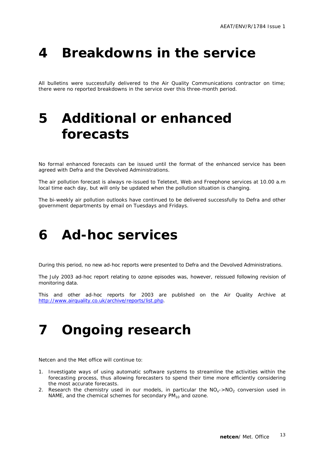### **4 Breakdowns in the service**

All bulletins were successfully delivered to the Air Quality Communications contractor on time; there were no reported breakdowns in the service over this three-month period.

### **5 Additional or enhanced forecasts**

No formal enhanced forecasts can be issued until the format of the enhanced service has been agreed with Defra and the Devolved Administrations.

The air pollution forecast is always re-issued to Teletext, Web and Freephone services at 10.00 a.m local time each day, but will only be updated when the pollution situation is changing.

The bi-weekly air pollution outlooks have continued to be delivered successfully to Defra and other government departments by email on Tuesdays and Fridays.

### **6 Ad-hoc services**

During this period, no new ad-hoc reports were presented to Defra and the Devolved Administrations.

The July 2003 ad-hoc report relating to ozone episodes was, however, reissued following revision of monitoring data.

This and other ad-hoc reports for 2003 are published on the Air Quality Archive at http://www.airquality.co.uk/archive/reports/list.php.

### **7 Ongoing research**

Netcen and the Met office will continue to:

- 1. Investigate ways of using automatic software systems to streamline the activities within the forecasting process, thus allowing forecasters to spend their time more efficiently considering the most accurate forecasts.
- 2. Research the chemistry used in our models, in particular the  $NO<sub>x</sub>$ -NO<sub>2</sub> conversion used in NAME, and the chemical schemes for secondary  $PM_{10}$  and ozone.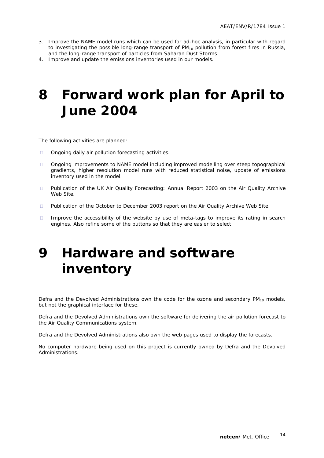- 3. Improve the NAME model runs which can be used for ad-hoc analysis, in particular with regard to investigating the possible long-range transport of PM<sub>10</sub> pollution from forest fires in Russia, and the long-range transport of particles from Saharan Dust Storms.
- 4. Improve and update the emissions inventories used in our models.

### **8 Forward work plan for April to June 2004**

The following activities are planned:

- □ Ongoing daily air pollution forecasting activities.
- Ongoing improvements to NAME model including improved modelling over steep topographical gradients, higher resolution model runs with reduced statistical noise, update of emissions inventory used in the model.
- Publication of the UK Air Quality Forecasting: Annual Report 2003 on the Air Quality Archive Web Site.
- **Publication of the October to December 2003 report on the Air Quality Archive Web Site.**
- Improve the accessibility of the website by use of meta-tags to improve its rating in search engines. Also refine some of the buttons so that they are easier to select.

## **9 Hardware and software inventory**

Defra and the Devolved Administrations own the code for the ozone and secondary  $PM_{10}$  models, but not the graphical interface for these.

Defra and the Devolved Administrations own the software for delivering the air pollution forecast to the Air Quality Communications system.

Defra and the Devolved Administrations also own the web pages used to display the forecasts.

No computer hardware being used on this project is currently owned by Defra and the Devolved Administrations.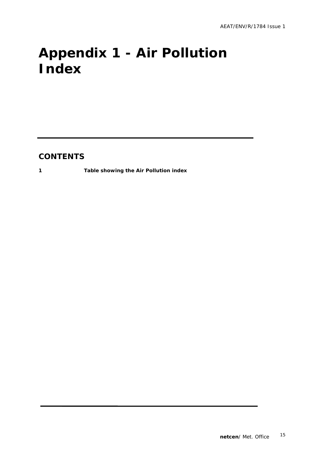# **Appendix 1 - Air Pollution Index**

### **CONTENTS**

**1 Table showing the Air Pollution index**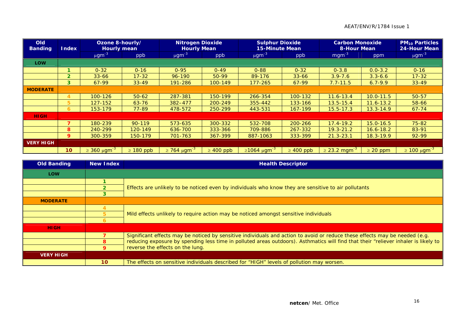#### AEAT/ENV/R/1784 Issue 1

| <b>Old</b><br><b>Banding</b> | <b>Index</b>    | Ozone 8-hourly/<br><b>Hourly mean</b> |                | <b>Nitrogen Dioxide</b><br><b>Hourly Mean</b> |                | <b>Sulphur Dioxide</b><br><b>15-Minute Mean</b> |                | <b>Carbon Monoxide</b><br>8-Hour Mean |               | <b>PM<sub>10</sub> Particles</b><br>24-Hour Mean |
|------------------------------|-----------------|---------------------------------------|----------------|-----------------------------------------------|----------------|-------------------------------------------------|----------------|---------------------------------------|---------------|--------------------------------------------------|
|                              |                 | $\mu$ gm <sup>-3</sup>                | ppb            | $\mu$ gm <sup>-3</sup>                        | ppb            | $\mu$ gm <sup>-3</sup>                          | ppb            | $mgm^{-3}$                            | ppm           | $\mu$ gm <sup>-3</sup>                           |
| <b>LOW</b>                   |                 |                                       |                |                                               |                |                                                 |                |                                       |               |                                                  |
|                              |                 | $0 - 32$                              | $0 - 16$       | $0 - 95$                                      | $0 - 49$       | $0 - 88$                                        | $0 - 32$       | $0 - 3.8$                             | $0.0 - 3.2$   | $0 - 16$                                         |
|                              | $\overline{2}$  | $33 - 66$                             | $17 - 32$      | $96 - 190$                                    | $50-99$        | 89-176                                          | $33 - 66$      | $3.9 - 7.6$                           | $3.3 - 6.6$   | $17 - 32$                                        |
|                              | 3 <sup>1</sup>  | 67-99                                 | $33 - 49$      | 191-286                                       | 100-149        | 177-265                                         | 67-99          | $7.7 - 11.5$                          | $6.7 - 9.9$   | $33 - 49$                                        |
| <b>MODERATE</b>              |                 |                                       |                |                                               |                |                                                 |                |                                       |               |                                                  |
|                              | 4               | 100-126                               | $50 - 62$      | 287-381                                       | 150-199        | 266-354                                         | 100-132        | $11.6 - 13.4$                         | $10.0 - 11.5$ | 50-57                                            |
|                              | 5               | $127 - 152$                           | $63 - 76$      | $382 - 477$                                   | 200-249        | 355-442                                         | 133-166        | $13.5 - 15.4$                         | $11.6 - 13.2$ | 58-66                                            |
|                              | 6.              | 153-179                               | 77-89          | 478-572                                       | 250-299        | 443-531                                         | 167-199        | $15.5 - 17.3$                         | $13.3 - 14.9$ | $67 - 74$                                        |
| <b>HIGH</b>                  |                 |                                       |                |                                               |                |                                                 |                |                                       |               |                                                  |
|                              | 7               | 180-239                               | $90 - 119$     | 573-635                                       | 300-332        | 532-708                                         | 200-266        | $17.4 - 19.2$                         | $15.0 - 16.5$ | $75 - 82$                                        |
|                              | 8               | 240-299                               | 120-149        | 636-700                                       | 333-366        | 709-886                                         | 267-332        | $19.3 - 21.2$                         | $16.6 - 18.2$ | 83-91                                            |
|                              | 9               | 300-359                               | 150-179        | 701-763                                       | 367-399        | 887-1063                                        | 333-399        | $21.3 - 23.1$                         | $18.3 - 19.9$ | 92-99                                            |
| <b>VERY HIGH</b>             |                 |                                       |                |                                               |                |                                                 |                |                                       |               |                                                  |
|                              | 10 <sup>°</sup> | $\geq$ 360 µgm <sup>-3</sup>          | $\geq 180$ ppb | $\geq$ 764 μgm <sup>-3</sup>                  | $\geq 400$ ppb | $≥1064 \mu$ gm <sup>-3</sup>                    | $\geq 400$ ppb | $\geq$ 23.2 mgm <sup>-3</sup>         | $\geq 20$ ppm | $\geq$ 100 μgm <sup>-3</sup>                     |

| <b>Old Banding</b> | <b>New Index</b> | <b>Health Descriptor</b>                                                                                                            |
|--------------------|------------------|-------------------------------------------------------------------------------------------------------------------------------------|
| <b>LOW</b>         |                  |                                                                                                                                     |
|                    |                  |                                                                                                                                     |
|                    |                  | Effects are unlikely to be noticed even by individuals who know they are sensitive to air pollutants                                |
|                    |                  |                                                                                                                                     |
| <b>MODERATE</b>    |                  |                                                                                                                                     |
|                    |                  |                                                                                                                                     |
|                    |                  | Mild effects unlikely to require action may be noticed amongst sensitive individuals                                                |
|                    |                  |                                                                                                                                     |
| <b>HIGH</b>        |                  |                                                                                                                                     |
|                    |                  | Significant effects may be noticed by sensitive individuals and action to avoid or reduce these effects may be needed (e.g.         |
|                    |                  | reducing exposure by spending less time in polluted areas outdoors). Asthmatics will find that their "reliever inhaler is likely to |
|                    | 9                | reverse the effects on the lung.                                                                                                    |
| <b>VERY HIGH</b>   |                  |                                                                                                                                     |
|                    | 10               | The effects on sensitive individuals described for "HIGH" levels of pollution may worsen.                                           |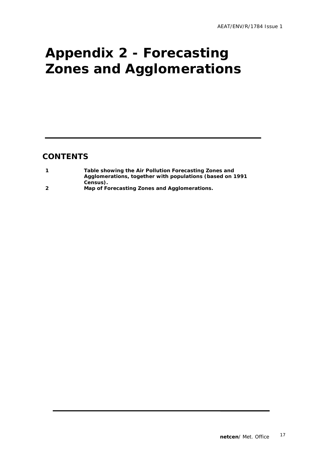# **Appendix 2 - Forecasting Zones and Agglomerations**

### **CONTENTS**

|                         | Table showing the Air Pollution Forecasting Zones and     |  |
|-------------------------|-----------------------------------------------------------|--|
|                         | Agglomerations, together with populations (based on 1991) |  |
|                         | Census).                                                  |  |
| $\overline{\mathbf{2}}$ | Map of Forecasting Zones and Agglomerations.              |  |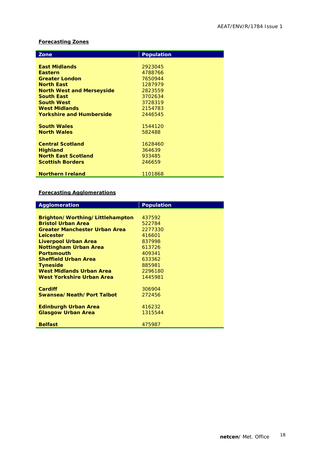#### **Forecasting Zones**

| Zone                             | <b>Population</b> |  |
|----------------------------------|-------------------|--|
|                                  |                   |  |
| <b>East Midlands</b>             | 2923045           |  |
| <b>Eastern</b>                   | 4788766           |  |
| <b>Greater London</b>            | 7650944           |  |
| <b>North East</b>                | 1287979           |  |
| <b>North West and Merseyside</b> | 2823559           |  |
| <b>South East</b>                | 3702634           |  |
| <b>South West</b>                | 3728319           |  |
| <b>West Midlands</b>             | 2154783           |  |
| <b>Yorkshire and Humberside</b>  | 2446545           |  |
|                                  |                   |  |
| <b>South Wales</b>               | 1544120           |  |
| <b>North Wales</b>               | 582488            |  |
|                                  |                   |  |
| <b>Central Scotland</b>          | 1628460           |  |
| <b>Highland</b>                  | 364639            |  |
| <b>North East Scotland</b>       | 933485            |  |
| <b>Scottish Borders</b>          | 246659            |  |
|                                  |                   |  |
| <b>Northern Ireland</b>          | 1101868           |  |

#### **Forecasting Agglomerations**

| Agglomeration                        | <b>Population</b> |
|--------------------------------------|-------------------|
|                                      |                   |
| Brighton/Worthing/Littlehampton      | 437592            |
| <b>Bristol Urban Area</b>            | 522784            |
| <b>Greater Manchester Urban Area</b> | 2277330           |
| Leicester                            | 416601            |
| Liverpool Urban Area                 | 837998            |
| <b>Nottingham Urban Area</b>         | 613726            |
| <b>Portsmouth</b>                    | 409341            |
| <b>Sheffield Urban Area</b>          | 633362            |
| <b>Tyneside</b>                      | 885981            |
| West Midlands Urban Area             | 2296180           |
| West Yorkshire Urban Area            | 1445981           |
|                                      |                   |
| Cardiff                              | 306904            |
| Swansea/Neath/Port Talbot            | 272456            |
|                                      |                   |
| <b>Edinburgh Urban Area</b>          | 416232            |
| <b>Glasgow Urban Area</b>            | 1315544           |
|                                      |                   |
| <b>Belfast</b>                       | 475987            |